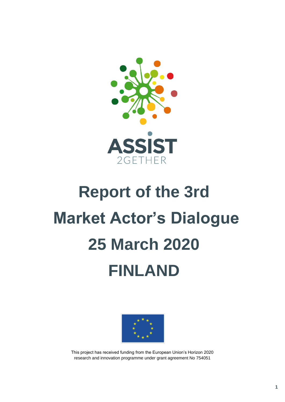

## **Report of the 3rd Market Actor's Dialogue 25 March 2020 FINLAND**



This project has received funding from the European Union's Horizon 2020 research and innovation programme under grant agreement No 754051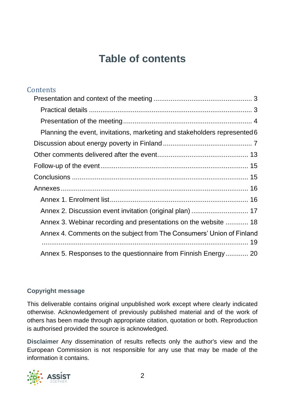## **Table of contents**

| Contents                                                                  |
|---------------------------------------------------------------------------|
|                                                                           |
|                                                                           |
|                                                                           |
| Planning the event, invitations, marketing and stakeholders represented 6 |
|                                                                           |
|                                                                           |
|                                                                           |
|                                                                           |
|                                                                           |
|                                                                           |
| Annex 2. Discussion event invitation (original plan)  17                  |
| Annex 3. Webinar recording and presentations on the website  18           |
| Annex 4. Comments on the subject from The Consumers' Union of Finland     |
| Annex 5. Responses to the questionnaire from Finnish Energy 20            |

#### **Copyright message**

This deliverable contains original unpublished work except where clearly indicated otherwise. Acknowledgement of previously published material and of the work of others has been made through appropriate citation, quotation or both. Reproduction is authorised provided the source is acknowledged.

**Disclaimer** Any dissemination of results reflects only the author's view and the European Commission is not responsible for any use that may be made of the information it contains.

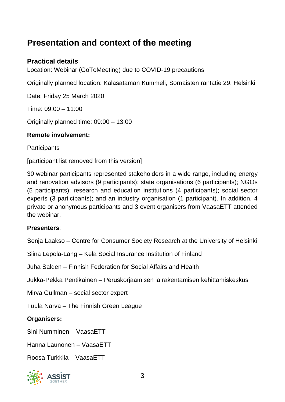## <span id="page-2-0"></span>**Presentation and context of the meeting**

#### <span id="page-2-1"></span>**Practical details**

Location: Webinar (GoToMeeting) due to COVID-19 precautions

Originally planned location: Kalasataman Kummeli, Sörnäisten rantatie 29, Helsinki

Date: Friday 25 March 2020

Time: 09:00 – 11:00

Originally planned time: 09:00 – 13:00

#### **Remote involvement:**

**Participants** 

[participant list removed from this version]

30 webinar participants represented stakeholders in a wide range, including energy and renovation advisors (9 participants); state organisations (6 participants); NGOs (5 participants); research and education institutions (4 participants); social sector experts (3 participants); and an industry organisation (1 participant). In addition, 4 private or anonymous participants and 3 event organisers from VaasaETT attended the webinar.

#### **Presenters**:

Senja Laakso – Centre for Consumer Society Research at the University of Helsinki

Siina Lepola-Lång – Kela Social Insurance Institution of Finland

Juha Salden – Finnish Federation for Social Affairs and Health

Jukka-Pekka Pentikäinen – Peruskorjaamisen ja rakentamisen kehittämiskeskus

Mirva Gullman – social sector expert

Tuula Närvä – The Finnish Green League

**Organisers:**

Sini Numminen – VaasaETT

Hanna Launonen – VaasaETT

Roosa Turkkila – VaasaETT

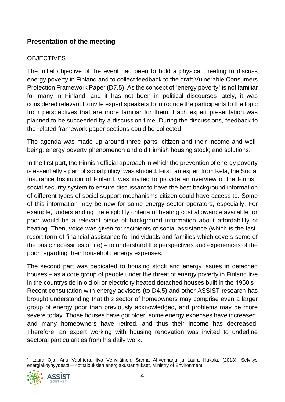#### <span id="page-3-0"></span>**Presentation of the meeting**

#### **OBJECTIVES**

The initial objective of the event had been to hold a physical meeting to discuss energy poverty in Finland and to collect feedback to the draft Vulnerable Consumers Protection Framework Paper (D7.5). As the concept of "energy poverty" is not familiar for many in Finland, and it has not been in political discourses lately, it was considered relevant to invite expert speakers to introduce the participants to the topic from perspectives that are more familiar for them. Each expert presentation was planned to be succeeded by a discussion time. During the discussions, feedback to the related framework paper sections could be collected.

The agenda was made up around three parts: citizen and their income and wellbeing; energy poverty phenomenon and old Finnish housing stock; and solutions.

In the first part, the Finnish official approach in which the prevention of energy poverty is essentially a part of social policy, was studied. First, an expert from Kela, the Social Insurance Institution of Finland, was invited to provide an overview of the Finnish social security system to ensure discussant to have the best background information of different types of social support mechanisms citizen could have access to. Some of this information may be new for some energy sector operators, especially. For example, understanding the eligibility criteria of heating cost allowance available for poor would be a relevant piece of background information about affordability of heating. Then, voice was given for recipients of social assistance (which is the lastresort form of financial assistance for individuals and families which covers some of the basic necessities of life) – to understand the perspectives and experiences of the poor regarding their household energy expenses.

The second part was dedicated to housing stock and energy issues in detached houses – as a core group of people under the threat of energy poverty in Finland live in the countryside in old oil or electricity heated detached houses built in the 1950's<sup>1</sup>. Recent consultation with energy advisors (to D4.5) and other ASSIST research has brought understanding that this sector of homeowners may comprise even a larger group of energy poor than previously acknowledged, and problems may be more severe today. Those houses have got older, some energy expenses have increased, and many homeowners have retired, and thus their income has decreased. Therefore, an expert working with housing renovation was invited to underline sectoral particularities from his daily work.

<sup>1</sup> Laura Oja, Anu Vaahtera, Iivo Vehviläinen, Sanna Ahvenharju ja Laura Hakala. (2013). Selvitys energiaköyhyydestä—Kotitalouksien energiakustannukset. Ministry of Environment.

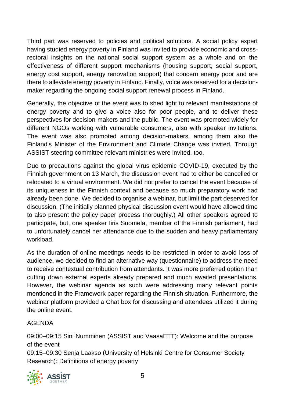Third part was reserved to policies and political solutions. A social policy expert having studied energy poverty in Finland was invited to provide economic and crossrectoral insights on the national social support system as a whole and on the effectiveness of different support mechanisms (housing support, social support, energy cost support, energy renovation support) that concern energy poor and are there to alleviate energy poverty in Finland. Finally, voice was reserved for a decisionmaker regarding the ongoing social support renewal process in Finland.

Generally, the objective of the event was to shed light to relevant manifestations of energy poverty and to give a voice also for poor people, and to deliver these perspectives for decision-makers and the public. The event was promoted widely for different NGOs working with vulnerable consumers, also with speaker invitations. The event was also promoted among decision-makers, among them also the Finland's Minister of the Environment and Climate Change was invited. Through ASSIST steering committee relevant ministries were invited, too.

Due to precautions against the global virus epidemic COVID-19, executed by the Finnish government on 13 March, the discussion event had to either be cancelled or relocated to a virtual environment. We did not prefer to cancel the event because of its uniqueness in the Finnish context and because so much preparatory work had already been done. We decided to organise a webinar, but limit the part deserved for discussion. (The initially planned physical discussion event would have allowed time to also present the policy paper process thoroughly.) All other speakers agreed to participate, but, one speaker Iiris Suomela, member of the Finnish parliament, had to unfortunately cancel her attendance due to the sudden and heavy parliamentary workload.

As the duration of online meetings needs to be restricted in order to avoid loss of audience, we decided to find an alternative way (questionnaire) to address the need to receive contextual contribution from attendants. It was more preferred option than cutting down external experts already prepared and much awaited presentations. However, the webinar agenda as such were addressing many relevant points mentioned in the Framework paper regarding the Finnish situation. Furthermore, the webinar platform provided a Chat box for discussing and attendees utilized it during the online event.

#### AGENDA

09:00–09:15 Sini Numminen (ASSIST and VaasaETT): Welcome and the purpose of the event 09:15–09:30 Senja Laakso (University of Helsinki Centre for Consumer Society Research): Definitions of energy poverty

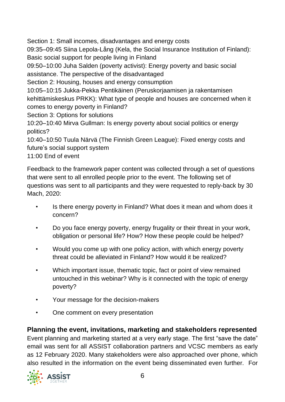Section 1: Small incomes, disadvantages and energy costs

09:35–09:45 Siina Lepola-Lång (Kela, the Social Insurance Institution of Finland): Basic social support for people living in Finland

09:50–10:00 Juha Salden (poverty activist): Energy poverty and basic social assistance. The perspective of the disadvantaged

Section 2: Housing, houses and energy consumption

10:05–10:15 Jukka-Pekka Pentikäinen (Peruskorjaamisen ja rakentamisen kehittämiskeskus PRKK): What type of people and houses are concerned when it comes to energy poverty in Finland?

Section 3: Options for solutions

10:20–10:40 Mirva Gullman: Is energy poverty about social politics or energy politics?

10:40–10:50 Tuula Närvä (The Finnish Green League): Fixed energy costs and future's social support system

11:00 End of event

Feedback to the framework paper content was collected through a set of questions that were sent to all enrolled people prior to the event. The following set of questions was sent to all participants and they were requested to reply-back by 30 Mach, 2020:

- Is there energy poverty in Finland? What does it mean and whom does it concern?
- Do you face energy poverty, energy frugality or their threat in your work, obligation or personal life? How? How these people could be helped?
- Would you come up with one policy action, with which energy poverty threat could be alleviated in Finland? How would it be realized?
- Which important issue, thematic topic, fact or point of view remained untouched in this webinar? Why is it connected with the topic of energy poverty?
- Your message for the decision-makers
- One comment on every presentation

#### <span id="page-5-0"></span>**Planning the event, invitations, marketing and stakeholders represented**

Event planning and marketing started at a very early stage. The first "save the date" email was sent for all ASSIST collaboration partners and VCSC members as early as 12 February 2020. Many stakeholders were also approached over phone, which also resulted in the information on the event being disseminated even further. For

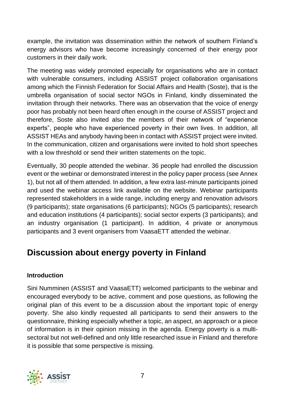example, the invitation was dissemination within the network of southern Finland's energy advisors who have become increasingly concerned of their energy poor customers in their daily work.

The meeting was widely promoted especially for organisations who are in contact with vulnerable consumers, including ASSIST project collaboration organisations among which the Finnish Federation for Social Affairs and Health (Soste), that is the umbrella organisation of social sector NGOs in Finland, kindly disseminated the invitation through their networks. There was an observation that the voice of energy poor has probably not been heard often enough in the course of ASSIST project and therefore, Soste also invited also the members of their network of "experience experts", people who have experienced poverty in their own lives. In addition, all ASSIST HEAs and anybody having been in contact with ASSIST project were invited. In the communication, citizen and organisations were invited to hold short speeches with a low threshold or send their written statements on the topic.

Eventually, 30 people attended the webinar. 36 people had enrolled the discussion event or the webinar or demonstrated interest in the policy paper process (see Annex 1), but not all of them attended. In addition, a few extra last-minute participants joined and used the webinar access link available on the website. Webinar participants represented stakeholders in a wide range, including energy and renovation advisors (9 participants); state organisations (6 participants); NGOs (5 participants); research and education institutions (4 participants); social sector experts (3 participants); and an industry organisation (1 participant). In addition, 4 private or anonymous participants and 3 event organisers from VaasaETT attended the webinar.

## <span id="page-6-0"></span>**Discussion about energy poverty in Finland**

#### **Introduction**

Sini Numminen (ASSIST and VaasaETT) welcomed participants to the webinar and encouraged everybody to be active, comment and pose questions, as following the original plan of this event to be a discussion about the important topic of energy poverty. She also kindly requested all participants to send their answers to the questionnaire, thinking especially whether a topic, an aspect, an approach or a piece of information is in their opinion missing in the agenda. Energy poverty is a multisectoral but not well-defined and only little researched issue in Finland and therefore it is possible that some perspective is missing.

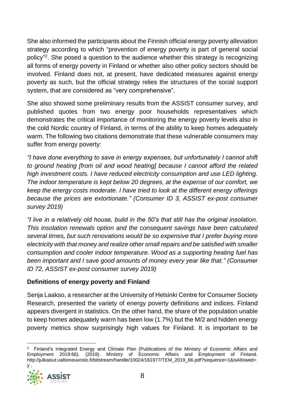She also informed the participants about the Finnish official energy poverty alleviation strategy according to which "prevention of energy poverty is part of general social policy"<sup>2</sup>. She posed a question to the audience whether this strategy is recognizing all forms of energy poverty in Finland or whether also other policy sectors should be involved. Finland does not, at present, have dedicated measures against energy poverty as such, but the official strategy relies the structures of the social support system, that are considered as "very comprehensive".

She also showed some preliminary results from the ASSIST consumer survey, and published quotes from two energy poor households representatives which demonstrates the critical importance of monitoring the energy poverty levels also in the cold Nordic country of Finland, in terms of the ability to keep homes adequately warm. The following two citations demonstrate that these vulnerable consumers may suffer from energy poverty:

*"I have done everything to save in energy expenses, but unfortunately I cannot shift to ground heating [from oil and wood heating] because I cannot afford the related high investment costs. I have reduced electricity consumption and use LED lighting. The indoor temperature is kept below 20 degrees, at the expense of our comfort, we keep the energy costs moderate. I have tried to look at the different energy offerings because the prices are extortionate." (Consumer ID 3, ASSIST ex-post consumer survey 2019)*

*"I live in a relatively old house, build in the 50's that still has the original insolation. This insolation renewals option and the consequent savings have been calculated several times, but such renovations would be so expensive that I prefer buying more electricity with that money and realize other small repairs and be satisfied with smaller consumption and cooler indoor temperature. Wood as a supporting heating fuel has been important and I save good amounts of money every year like that." (Consumer ID 72, ASSIST ex-post consumer survey 2019)*

#### **Definitions of energy poverty and Finland**

Senja Laakso, a researcher at the University of Helsinki Centre for Consumer Society Research, presented the variety of energy poverty definitions and indices. Finland appears divergent in statistics. On the other hand, the share of the population unable to keep homes adequately warm has been low (1.7%) but the M/2 and hidden energy poverty metrics show surprisingly high values for Finland. It is important to be

<sup>&</sup>lt;sup>2</sup> Finland's Integrated Energy and Climate Plan (Publications of the Ministry of Economic Affairs and Employment 2019:66). (2019). Ministry of Economic Affairs and Employment of Finland. http://julkaisut.valtioneuvosto.fi/bitstream/handle/10024/161977/TEM\_2019\_66.pdf?sequence=1&isAllowed=

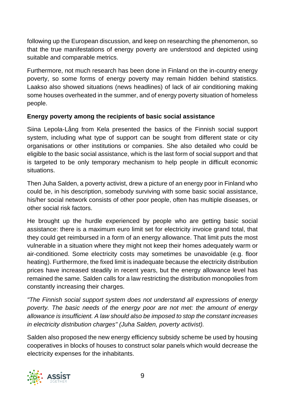following up the European discussion, and keep on researching the phenomenon, so that the true manifestations of energy poverty are understood and depicted using suitable and comparable metrics.

Furthermore, not much research has been done in Finland on the in-country energy poverty, so some forms of energy poverty may remain hidden behind statistics. Laakso also showed situations (news headlines) of lack of air conditioning making some houses overheated in the summer, and of energy poverty situation of homeless people.

#### **Energy poverty among the recipients of basic social assistance**

Siina Lepola-Lång from Kela presented the basics of the Finnish social support system, including what type of support can be sought from different state or city organisations or other institutions or companies. She also detailed who could be eligible to the basic social assistance, which is the last form of social support and that is targeted to be only temporary mechanism to help people in difficult economic situations.

Then Juha Salden, a poverty activist, drew a picture of an energy poor in Finland who could be, in his description, somebody surviving with some basic social assistance, his/her social network consists of other poor people, often has multiple diseases, or other social risk factors.

He brought up the hurdle experienced by people who are getting basic social assistance: there is a maximum euro limit set for electricity invoice grand total, that they could get reimbursed in a form of an energy allowance. That limit puts the most vulnerable in a situation where they might not keep their homes adequately warm or air-conditioned. Some electricity costs may sometimes be unavoidable (e.g. floor heating). Furthermore, the fixed limit is inadequate because the electricity distribution prices have increased steadily in recent years, but the energy allowance level has remained the same. Salden calls for a law restricting the distribution monopolies from constantly increasing their charges.

*"The Finnish social support system does not understand all expressions of energy poverty. The basic needs of the energy poor are not met: the amount of energy allowance is insufficient. A law should also be imposed to stop the constant increases in electricity distribution charges" (Juha Salden, poverty activist).* 

Salden also proposed the new energy efficiency subsidy scheme be used by housing cooperatives in blocks of houses to construct solar panels which would decrease the electricity expenses for the inhabitants.

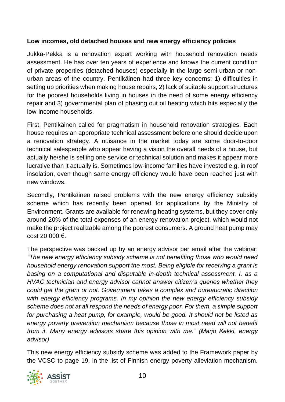#### **Low incomes, old detached houses and new energy efficiency policies**

Jukka-Pekka is a renovation expert working with household renovation needs assessment. He has over ten years of experience and knows the current condition of private properties (detached houses) especially in the large semi-urban or nonurban areas of the country. Pentikäinen had three key concerns: 1) difficulties in setting up priorities when making house repairs, 2) lack of suitable support structures for the poorest households living in houses in the need of some energy efficiency repair and 3) governmental plan of phasing out oil heating which hits especially the low-income households.

First, Pentikäinen called for pragmatism in household renovation strategies. Each house requires an appropriate technical assessment before one should decide upon a renovation strategy. A nuisance in the market today are some door-to-door technical salespeople who appear having a vision the overall needs of a house, but actually he/she is selling one service or technical solution and makes it appear more lucrative than it actually is. Sometimes low-income families have invested e.g. in roof insolation, even though same energy efficiency would have been reached just with new windows.

Secondly, Pentikäinen raised problems with the new energy efficiency subsidy scheme which has recently been opened for applications by the Ministry of Environment. Grants are available for renewing heating systems, but they cover only around 20% of the total expenses of an energy renovation project, which would not make the project realizable among the poorest consumers. A ground heat pump may  $cost 20 000 \in$ 

The perspective was backed up by an energy advisor per email after the webinar: *"The new energy efficiency subsidy scheme is not benefiting those who would need household energy renovation support the most. Being eligible for receiving a grant is basing on a computational and disputable in-depth technical assessment. I, as a HVAC technician and energy advisor cannot answer citizen's queries whether they could get the grant or not. Government takes a complex and bureaucratic direction with energy efficiency programs. In my opinion the new energy efficiency subsidy scheme does not at all respond the needs of energy poor. For them, a simple support for purchasing a heat pump, for example, would be good. It should not be listed as energy poverty prevention mechanism because those in most need will not benefit from it. Many energy advisors share this opinion with me." (Marjo Kekki, energy advisor)*

This new energy efficiency subsidy scheme was added to the Framework paper by the VCSC to page 19, in the list of Finnish energy poverty alleviation mechanism.

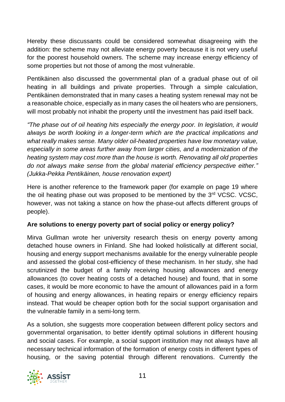Hereby these discussants could be considered somewhat disagreeing with the addition: the scheme may not alleviate energy poverty because it is not very useful for the poorest household owners. The scheme may increase energy efficiency of some properties but not those of among the most vulnerable.

Pentikäinen also discussed the governmental plan of a gradual phase out of oil heating in all buildings and private properties. Through a simple calculation, Pentikäinen demonstrated that in many cases a heating system renewal may not be a reasonable choice, especially as in many cases the oil heaters who are pensioners, will most probably not inhabit the property until the investment has paid itself back.

*"The phase out of oil heating hits especially the energy poor. In legislation, it would always be worth looking in a longer-term which are the practical implications and what really makes sense. Many older oil-heated properties have low monetary value, especially in some areas further away from larger cities, and a modernization of the heating system may cost more than the house is worth. Renovating all old properties do not always make sense from the global material efficiency perspective either." (Jukka-Pekka Pentikäinen, house renovation expert)*

Here is another reference to the framework paper (for example on page 19 where the oil heating phase out was proposed to be mentioned by the 3<sup>rd</sup> VCSC. VCSC, however, was not taking a stance on how the phase-out affects different groups of people).

#### **Are solutions to energy poverty part of social policy or energy policy?**

Mirva Gullman wrote her university research thesis on energy poverty among detached house owners in Finland. She had looked holistically at different social, housing and energy support mechanisms available for the energy vulnerable people and assessed the global cost-efficiency of these mechanism. In her study, she had scrutinized the budget of a family receiving housing allowances and energy allowances (to cover heating costs of a detached house) and found, that in some cases, it would be more economic to have the amount of allowances paid in a form of housing and energy allowances, in heating repairs or energy efficiency repairs instead. That would be cheaper option both for the social support organisation and the vulnerable family in a semi-long term.

As a solution, she suggests more cooperation between different policy sectors and governmental organisation, to better identify optimal solutions in different housing and social cases. For example, a social support institution may not always have all necessary technical information of the formation of energy costs in different types of housing, or the saving potential through different renovations. Currently the

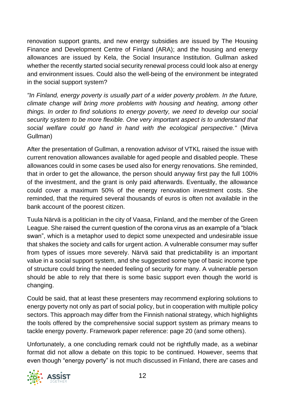renovation support grants, and new energy subsidies are issued by The Housing Finance and Development Centre of Finland (ARA); and the housing and energy allowances are issued by Kela, the Social Insurance Institution. Gullman asked whether the recently started social security renewal process could look also at energy and environment issues. Could also the well-being of the environment be integrated in the social support system?

*"In Finland, energy poverty is usually part of a wider poverty problem. In the future, climate change will bring more problems with housing and heating, among other things. In order to find solutions to energy poverty, we need to develop our social security system to be more flexible. One very important aspect is to understand that social welfare could go hand in hand with the ecological perspective."* (Mirva Gullman)

After the presentation of Gullman, a renovation advisor of VTKL raised the issue with current renovation allowances available for aged people and disabled people. These allowances could in some cases be used also for energy renovations. She reminded, that in order to get the allowance, the person should anyway first pay the full 100% of the investment, and the grant is only paid afterwards. Eventually, the allowance could cover a maximum 50% of the energy renovation investment costs. She reminded, that the required several thousands of euros is often not available in the bank account of the poorest citizen.

Tuula Närvä is a politician in the city of Vaasa, Finland, and the member of the Green League. She raised the current question of the corona virus as an example of a "black swan", which is a metaphor used to depict some unexpected and undesirable issue that shakes the society and calls for urgent action. A vulnerable consumer may suffer from types of issues more severely. Närvä said that predictability is an important value in a social support system, and she suggested some type of basic income type of structure could bring the needed feeling of security for many. A vulnerable person should be able to rely that there is some basic support even though the world is changing.

Could be said, that at least these presenters may recommend exploring solutions to energy poverty not only as part of social policy, but in cooperation with multiple policy sectors. This approach may differ from the Finnish national strategy, which highlights the tools offered by the comprehensive social support system as primary means to tackle energy poverty. Framework paper reference: page 20 (and some others).

Unfortunately, a one concluding remark could not be rightfully made, as a webinar format did not allow a debate on this topic to be continued. However, seems that even though "energy poverty" is not much discussed in Finland, there are cases and

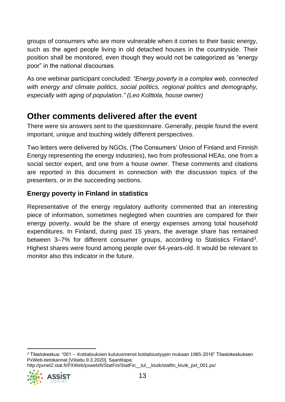groups of consumers who are more vulnerable when it comes to their basic energy, such as the aged people living in old detached houses in the countryside. Their position shall be monitored, even though they would not be categorized as "energy poor" in the national discourses.

As one webinar participant concluded: *"Energy poverty is a complex web, connected with energy and climate politics, social politics, regional politics and demography, especially with aging of population." (Leo Kolttola, house owner)*

## <span id="page-12-0"></span>**Other comments delivered after the event**

There were six answers sent to the questionnaire. Generally, people found the event important, unique and touching widely different perspectives.

Two letters were delivered by NGOs, (The Consumers' Union of Finland and Finnish Energy representing the energy industries), two from professional HEAs, one from a social sector expert, and one from a house owner. These comments and citations are reported in this document in connection with the discussion topics of the presenters, or in the succeeding sections.

#### **Energy poverty in Finland in statistics**

Representative of the energy regulatory authority commented that an interesting piece of information, sometimes neglegted when countries are compared for their energy poverty, would be the share of energy expenses among total household expenditures. In Finland, during past 15 years, the average share has remained between 3-7% for different consumer groups, according to Statistics Finland<sup>3</sup>. Highest shares were found among people over 64-years-old. It would be relevant to monitor also this indicator in the future.

```
http://pxnet2.stat.fi/PXWeb/pxweb/fi/StatFin/StatFin__tul__ktutk/statfin_ktutk_pxt_001.px/
```


<sup>3</sup> Tilastokeskus: "001 -- Kotitalouksien kulutusmenot kotitaloustyypin mukaan 1985-2016" Tilastokeskuksen PxWeb-tietokannat [Viitattu 9.3.2020]. Saantitapa: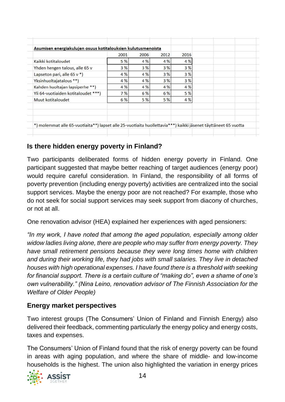|                                                                                                                | 2001 | 2006 | 2012 | 2016 |  |
|----------------------------------------------------------------------------------------------------------------|------|------|------|------|--|
| Kaikki kotitaloudet                                                                                            | 5 %  | 4 %  | 4 %  | 4 %  |  |
| Yhden hengen talous, alle 65 v                                                                                 | 3 %  | 3%   | 3%   | 3%   |  |
| Lapseton pari, alle 65 v *)                                                                                    | 4 %  | 4 %  | 3%   | 3 %  |  |
| Yksinhuoltajatalous **)                                                                                        | 4 %  | 4 %  | 3%   | 3%   |  |
| Kahden huoltajan lapsiperhe <sup>**</sup> )                                                                    | 4 %  | 4 %  | 4 %  | 4 %  |  |
| Yli 64-vuotiaiden kotitaloudet ***)                                                                            | 7%   | 6 %  | 6 %  | 5 %  |  |
| Muut kotitaloudet                                                                                              | 6%   | 5 %  | 5 %  | 4 %  |  |
| *) molemmat alle 65-vuotiaita**) lapset alle 25-vuotiaita huollettavia***) kaikki jäsenet täyttäneet 65 vuotta |      |      |      |      |  |

#### **Is there hidden energy poverty in Finland?**

Two participants deliberated forms of hidden energy poverty in Finland. One participant suggested that maybe better reaching of target audiences (energy poor) would require careful consideration. In Finland, the responsibility of all forms of poverty prevention (including energy poverty) activities are centralized into the social support services. Maybe the energy poor are not reached? For example, those who do not seek for social support services may seek support from diacony of churches, or not at all.

One renovation advisor (HEA) explained her experiences with aged pensioners:

*"In my work, I have noted that among the aged population, especially among older widow ladies living alone, there are people who may suffer from energy poverty. They have small retirement pensions because they were long times home with children and during their working life, they had jobs with small salaries. They live in detached houses with high operational expenses. I have found there is a threshold with seeking for financial support. There is a certain culture of "making do", even a shame of one's own vulnerability." (Nina Leino, renovation advisor of The Finnish Association for the Welfare of Older People)*

#### **Energy market perspectives**

Two interest groups (The Consumers' Union of Finland and Finnish Energy) also delivered their feedback, commenting particularly the energy policy and energy costs, taxes and expenses.

The Consumers' Union of Finland found that the risk of energy poverty can be found in areas with aging population, and where the share of middle- and low-income households is the highest. The union also highlighted the variation in energy prices

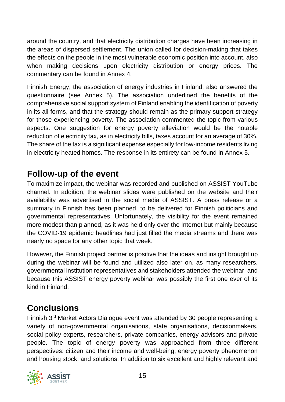around the country, and that electricity distribution charges have been increasing in the areas of dispersed settlement. The union called for decision-making that takes the effects on the people in the most vulnerable economic position into account, also when making decisions upon electricity distribution or energy prices. The commentary can be found in Annex 4.

Finnish Energy, the association of energy industries in Finland, also answered the questionnaire (see Annex 5). The association underlined the benefits of the comprehensive social support system of Finland enabling the identification of poverty in its all forms, and that the strategy should remain as the primary support strategy for those experiencing poverty. The association commented the topic from various aspects. One suggestion for energy poverty alleviation would be the notable reduction of electricity tax, as in electricity bills, taxes account for an average of 30%. The share of the tax is a significant expense especially for low-income residents living in electricity heated homes. The response in its entirety can be found in Annex 5.

## <span id="page-14-0"></span>**Follow-up of the event**

To maximize impact, the webinar was recorded and published on ASSIST YouTube channel. In addition, the webinar slides were published on the website and their availability was advertised in the social media of ASSIST. A press release or a summary in Finnish has been planned, to be delivered for Finnish politicians and governmental representatives. Unfortunately, the visibility for the event remained more modest than planned, as it was held only over the Internet but mainly because the COVID-19 epidemic headlines had just filled the media streams and there was nearly no space for any other topic that week.

However, the Finnish project partner is positive that the ideas and insight brought up during the webinar will be found and utilized also later on, as many researchers, governmental institution representatives and stakeholders attended the webinar, and because this ASSIST energy poverty webinar was possibly the first one ever of its kind in Finland.

## <span id="page-14-1"></span>**Conclusions**

Finnish 3<sup>rd</sup> Market Actors Dialogue event was attended by 30 people representing a variety of non-governmental organisations, state organisations, decisionmakers, social policy experts, researchers, private companies, energy advisors and private people. The topic of energy poverty was approached from three different perspectives: citizen and their income and well-being; energy poverty phenomenon and housing stock; and solutions. In addition to six excellent and highly relevant and

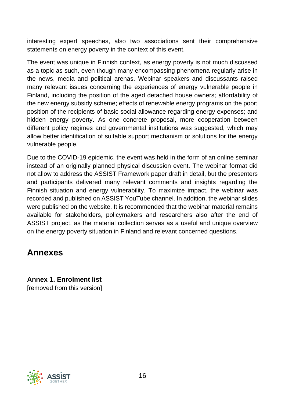interesting expert speeches, also two associations sent their comprehensive statements on energy poverty in the context of this event.

The event was unique in Finnish context, as energy poverty is not much discussed as a topic as such, even though many encompassing phenomena regularly arise in the news, media and political arenas. Webinar speakers and discussants raised many relevant issues concerning the experiences of energy vulnerable people in Finland, including the position of the aged detached house owners; affordability of the new energy subsidy scheme; effects of renewable energy programs on the poor; position of the recipients of basic social allowance regarding energy expenses; and hidden energy poverty. As one concrete proposal, more cooperation between different policy regimes and governmental institutions was suggested, which may allow better identification of suitable support mechanism or solutions for the energy vulnerable people.

Due to the COVID-19 epidemic, the event was held in the form of an online seminar instead of an originally planned physical discussion event. The webinar format did not allow to address the ASSIST Framework paper draft in detail, but the presenters and participants delivered many relevant comments and insights regarding the Finnish situation and energy vulnerability. To maximize impact, the webinar was recorded and published on ASSIST YouTube channel. In addition, the webinar slides were published on the website. It is recommended that the webinar material remains available for stakeholders, policymakers and researchers also after the end of ASSIST project, as the material collection serves as a useful and unique overview on the energy poverty situation in Finland and relevant concerned questions.

### <span id="page-15-0"></span>**Annexes**

<span id="page-15-1"></span>**Annex 1. Enrolment list**  [removed from this version]

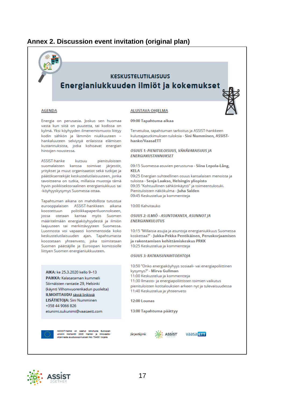#### <span id="page-16-0"></span>**Annex 2. Discussion event invitation (original plan)**

# **KESKUSTELUTILAISUUS** Energianiukkuuden ilmiöt ja kokemukset

#### **AGENDA**

#### **ALUSTAVA OHJELMA**

hanke/VaasaETT

10:00 Kahvitauko

ENERGIANKULUTUS

**KFIA** 

09:00 Tapahtuma alkaa

**ENERGIAKUSTANNUKSET** 

Tervetuloa, tapahtuman tarkoitus ja ASSIST-hankkeen

OSUUS 1: PIENITULOISUUS. VÄHÄVARAISUUS IA

tuloista - Senja Laakso, Helsingin yliopisto

OSUUS 2: ILMIÖ - ASUNTOKANTA, ASUNNOT JA

ja rakentamisen kehittämiskeskus PRKK

10:25 Keskustelua ja kommentteja

**OSUUS 3: RATKAISUVAIHTOEHTOJA** 

11:00 Keskustelua ja kommentteja

11:40 Keskustelua ja yhteenveto

13:00 Tapahtuma päättyy

kysymys?" - Mirva Gullman

Pienituloisten näkökulma - Juha Salden

09:45 Keskustelua ja kommentteja

kuluttajatutkimuksen tuloksia - Sini Numminen, ASSIST-

09:15 Suomessa asuvien perusturva - Siina Lepola-Lång,

09:25 Energian suhteellinen osuus kansalaisen menoista ja

10:15 "Millaisia asujia ja asuntoja energianiukkuus Suomessa

koskettaa?" - Jukka-Pekka Pentikäinen, Peruskorjaamisen

10:50 "Onko energiaköyhyys sosiaali- vai energiapoliittinen

pienituloisten kotitalouksien arkeen nyt ja tulevaisuudessa

11:30 Ilmasto- ja energiapoliittisten toimien vaikutus

09:35 "Kohtuullinen sähkönkäyttö" ja toimeentulotuki.

Energia on perusasia. Joskus sen huomaa vasta kun siitä on puutetta, tai kodissa on kylmä. Yksi köyhyyden ilmenemismuoto liittyy kodin sähkön ja lämmön niukkuuteen hankaluuteen selviytyä erilaisista elämisen kustannuksista, jotka kohoavat energian hintojen noustessa.

ASSIST-hanke kutsuu pienituloisten suomalaisten kanssa toimivat järjestöt, yritykset ja muut organisaatiot sekä tutkijat ja päätöksentekijät keskustelutilaisuuteen, jonka tavoitteena on tutkia, millaisia muotoja tämä hyvin poikkisektoraalinen energianiukkuus tai -köyhyyskysymys Suomessa ottaa.

Tapahtuman aikana on mahdollista tutustua eurooppalaisen ASSIST-hankkeen aikana koostettuun politiikkapaperiluonnokseen, jossa otetaan kantaa myös Suomen määritelmään energiaköyhyydestä ja ilmiön laajuuteen tai merkittävyyteen Suomessa. Luonnosta voi vapaasti kommentoida koko keskustelutilaisuuden ajan. Tapahtumasta koostetaan yhteenveto, joka toimitetaan Suomen päättäjille ja Euroopan komissiolle liittyen Suomen energianiukkuuteen.

AIKA: ke 25.3.2020 kello 9-13 **PAIKKA:** Kalasataman kummeli Sörnäisten rantatie 29, Helsinki (käynti Vilhonvuorenkadun puolelta) ILMOITTAUDU tästä linkistä LISÄTIETOJA: Sini Numminen +358 44 9066 826 etunimi.sukunimi@vaasaett.com



ASSIST-hanke on saanut rahoitusta Euroopan<br>unionin Horisontti 2020 -hanke- ja innovaatio ohielmasta avustussoolmuksen Nro 754051 nolalla

Järjestäjinä:

12:00 Lounas

**CO.** ASSIST



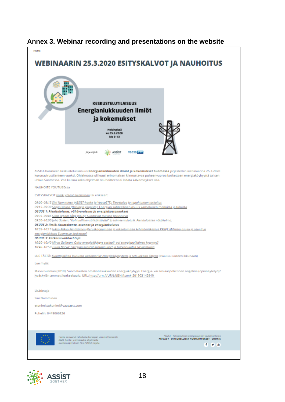

#### <span id="page-17-0"></span>**Annex 3. Webinar recording and presentations on the website**

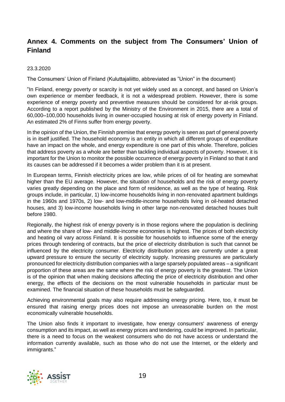#### <span id="page-18-0"></span>**Annex 4. Comments on the subject from The Consumers' Union of Finland**

#### 23.3.2020

The Consumers' Union of Finland (Kuluttajaliitto, abbreviated as "Union" in the document)

"In Finland, energy poverty or scarcity is not yet widely used as a concept, and based on Union's own experience or member feedback, it is not a widespread problem. However, there is some experience of energy poverty and preventive measures should be considered for at-risk groups. According to a report published by the Ministry of the Environment in 2015, there are a total of 60,000–100,000 households living in owner-occupied housing at risk of energy poverty in Finland. An estimated 2% of Finns suffer from energy poverty.

In the opinion of the Union, the Finnish premise that energy poverty is seen as part of general poverty is in itself justified. The household economy is an entity in which all different groups of expenditure have an impact on the whole, and energy expenditure is one part of this whole. Therefore, policies that address poverty as a whole are better than tackling individual aspects of poverty. However, it is important for the Union to monitor the possible occurrence of energy poverty in Finland so that it and its causes can be addressed if it becomes a wider problem than it is at present.

In European terms, Finnish electricity prices are low, while prices of oil for heating are somewhat higher than the EU average. However, the situation of households and the risk of energy poverty varies greatly depending on the place and form of residence, as well as the type of heating. Risk groups include, in particular, 1) low-income households living in non-renovated apartment buildings in the 1960s and 1970s, 2) low- and low-middle-income households living in oil-heated detached houses, and 3) low-income households living in other large non-renovated detached houses built before 1980.

Regionally, the highest risk of energy poverty is in those regions where the population is declining and where the share of low- and middle-income economies is highest. The prices of both electricity and heating oil vary across Finland. It is possible for households to influence some of the energy prices through tendering of contracts, but the price of electricity distribution is such that cannot be influenced by the electricity consumer. Electricity distribution prices are currently under a great upward pressure to ensure the security of electricity supply. Increasing pressures are particularly pronounced for electricity distribution companies with a large sparsely populated areas – a significant proportion of these areas are the same where the risk of energy poverty is the greatest. The Union is of the opinion that when making decisions affecting the price of electricity distribution and other energy, the effects of the decisions on the most vulnerable households in particular must be examined. The financial situation of these households must be safeguarded.

Achieving environmental goals may also require addressing energy pricing. Here, too, it must be ensured that raising energy prices does not impose an unreasonable burden on the most economically vulnerable households.

The Union also finds it important to investigate, how energy consumers' awareness of energy consumption and its impact, as well as energy prices and tendering, could be improved. In particular, there is a need to focus on the weakest consumers who do not have access or understand the information currently available, such as those who do not use the Internet, or the elderly and immigrants."

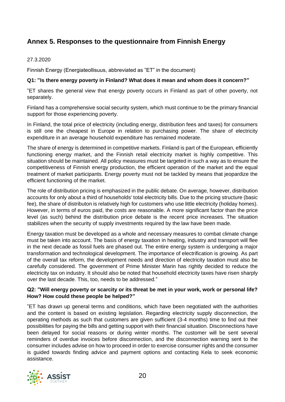#### <span id="page-19-0"></span>**Annex 5. Responses to the questionnaire from Finnish Energy**

#### 27.3.2020

Finnish Energy (Energiateollisuus, abbreviated as "ET" in the document)

#### **Q1: "Is there energy poverty in Finland? What does it mean and whom does it concern?"**

"ET shares the general view that energy poverty occurs in Finland as part of other poverty, not separately.

Finland has a comprehensive social security system, which must continue to be the primary financial support for those experiencing poverty.

In Finland, the total price of electricity (including energy, distribution fees and taxes) for consumers is still one the cheapest in Europe in relation to purchasing power. The share of electricity expenditure in an average household expenditure has remained moderate.

The share of energy is determined in competitive markets. Finland is part of the European, efficiently functioning energy market, and the Finnish retail electricity market is highly competitive. This situation should be maintained. All policy measures must be targeted in such a way as to ensure the competitiveness of Finnish energy production, the efficient operation of the market and the equal treatment of market participants. Energy poverty must not be tackled by means that jeopardize the efficient functioning of the market.

The role of distribution pricing is emphasized in the public debate. On average, however, distribution accounts for only about a third of households' total electricity bills. Due to the pricing structure (basic fee), the share of distributon is relatively high for customers who use little electricity (holiday homes). However, in terms of euros paid, the costs are reasonable. A more significant factor than the price level (as such) behind the distribution price debate is the recent price increases. The situation stabilizes when the security of supply investments required by the law have been made.

Energy taxation must be developed as a whole and necessary measures to combat climate change must be taken into account. The basis of energy taxation in heating, industry and transport will flee in the next decade as fossil fuels are phased out. The entire energy system is undergoing a major transformation and technological development. The importance of electrification is growing. As part of the overall tax reform, the development needs and direction of electricity taxation must also be carefully considered. The government of Prime Minister Marin has rightly decided to reduce the electricity tax on industry. It should also be noted that household electricity taxes have risen sharply over the last decade. This, too, needs to be addressed."

#### **Q2: "Will energy poverty or scarcity or its threat be met in your work, work or personal life? How? How could these people be helped?"**

"ET has drawn up general terms and conditions, which have been negotiated with the authorities and the content is based on existing legislation. Regarding electricity supply disconnection, the operating methods as such that customers are given sufficient (3-4 months) time to find out their possibilities for paying the bills and getting support with their financial situation. Disconnections have been delayed for social reasons or during winter months. The customer will be sent several reminders of overdue invoices before disconnection, and the disconnection warning sent to the consumer includes advise on how to proceed in order to exercise consumer rights and the consumer is guided towards finding advice and payment options and contacting Kela to seek economic assistance.